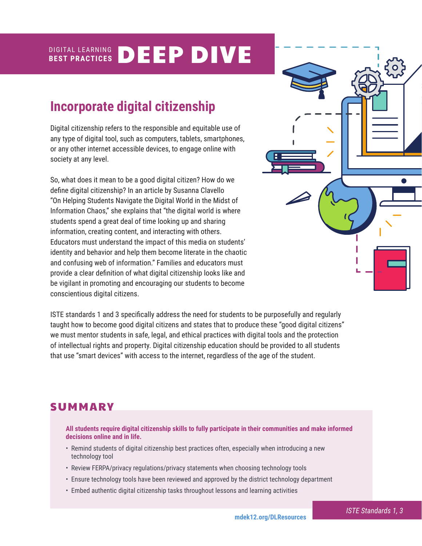#### DIGITAL LEARNING **BEST PRACTICES** DEEP DIVE

# **Incorporate digital citizenship**

Digital citizenship refers to the responsible and equitable use of any type of digital tool, such as computers, tablets, smartphones, or any other internet accessible devices, to engage online with society at any level.

So, what does it mean to be a good digital citizen? How do we define digital citizenship? In an article by Susanna Clavello "On Helping Students Navigate the Digital World in the Midst of Information Chaos," she explains that "the digital world is where students spend a great deal of time looking up and sharing information, creating content, and interacting with others. Educators must understand the impact of this media on students' identity and behavior and help them become literate in the chaotic and confusing web of information." Families and educators must provide a clear definition of what digital citizenship looks like and be vigilant in promoting and encouraging our students to become conscientious digital citizens.



ISTE standards 1 and 3 specifically address the need for students to be purposefully and regularly taught how to become good digital citizens and states that to produce these "good digital citizens" we must mentor students in safe, legal, and ethical practices with digital tools and the protection of intellectual rights and property. Digital citizenship education should be provided to all students that use "smart devices" with access to the internet, regardless of the age of the student.

## **SUMMARY**

**All students require digital citizenship skills to fully participate in their communities and make informed decisions online and in life.** 

- Remind students of digital citizenship best practices often, especially when introducing a new technology tool
- Review FERPA/privacy regulations/privacy statements when choosing technology tools
- Ensure technology tools have been reviewed and approved by the district technology department
- Embed authentic digital citizenship tasks throughout lessons and learning activities

*ISTE Standards 1, 3*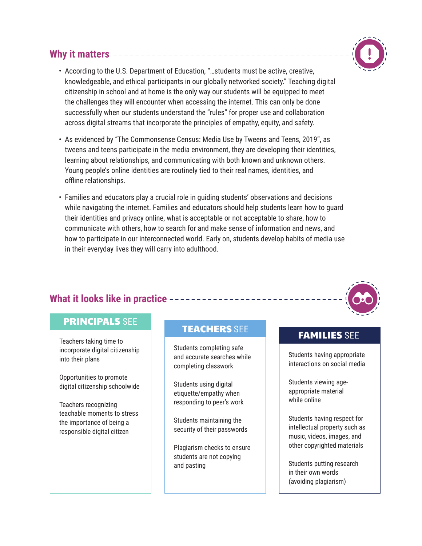## **Why it matters**



- According to the U.S. Department of Education, "…students must be active, creative, knowledgeable, and ethical participants in our globally networked society." Teaching digital citizenship in school and at home is the only way our students will be equipped to meet the challenges they will encounter when accessing the internet. This can only be done successfully when our students understand the "rules" for proper use and collaboration across digital streams that incorporate the principles of empathy, equity, and safety.
- As evidenced by "The Commonsense Census: Media Use by Tweens and Teens, 2019", as tweens and teens participate in the media environment, they are developing their identities, learning about relationships, and communicating with both known and unknown others. Young people's online identities are routinely tied to their real names, identities, and offline relationships.
- Families and educators play a crucial role in guiding students' observations and decisions while navigating the internet. Families and educators should help students learn how to guard their identities and privacy online, what is acceptable or not acceptable to share, how to communicate with others, how to search for and make sense of information and news, and how to participate in our interconnected world. Early on, students develop habits of media use in their everyday lives they will carry into adulthood.

## **What it looks like in practice**

## PRINCIPALS SEE

Teachers taking time to incorporate digital citizenship into their plans

Opportunities to promote digital citizenship schoolwide

Teachers recognizing teachable moments to stress the importance of being a responsible digital citizen

# TEACHERS SEE TEAMILIES SEE

Students completing safe and accurate searches while completing classwork

Students using digital etiquette/empathy when responding to peer's work

Students maintaining the security of their passwords

Plagiarism checks to ensure students are not copying and pasting

Students having appropriate interactions on social media

Students viewing ageappropriate material while online

Students having respect for intellectual property such as music, videos, images, and other copyrighted materials

Students putting research in their own words (avoiding plagiarism)